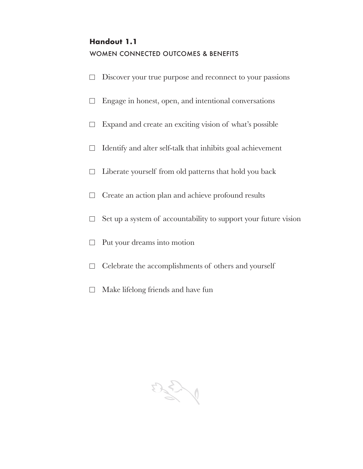# **Handout 1.1** WOMEN CONNECTED OUTCOMES & BENEFITS

- $\Box$ Discover your true purpose and reconnect to your passions
- Engage in honest, open, and intentional conversations  $\Box$
- Expand and create an exciting vision of what's possible  $\Box$
- Identify and alter self-talk that inhibits goal achievement  $\Box$
- $\Box$ Liberate yourself from old patterns that hold you back
- $\Box$ Create an action plan and achieve profound results
- Set up a system of accountability to support your future vision  $\Box$
- $\Box$ Put your dreams into motion
- $\Box$  Celebrate the accomplishments of others and yourself
- Make lifelong friends and have fun  $\Box$

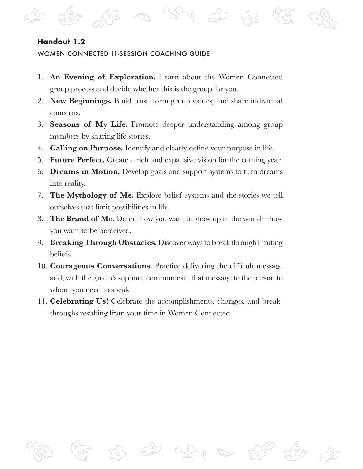## **Handout 1.2**

#### WOMEN CONNECTED 11-SESSION COACHING GUIDE

- 1. **An Evening of Exploration.** Learn about the Women Connected group process and decide whether this is the group for you.
- 2. **New Beginnings.** Build trust, form group values, and share individual concerns.
- 3. **Seasons of My Life.** Promote deeper understanding among group members by sharing life stories.
- 4. **Calling on Purpose.** Identify and clearly define your purpose in life.
- 5. **Future Perfect.** Create a rich and expansive vision for the coming year.
- 6. **Dreams in Motion.** Develop goals and support systems to turn dreams into reality.
- 7. **The Mythology of Me.** Explore belief systems and the stories we tell ourselves that limit possibilities in life.
- 8. **The Brand of Me.** Define how you want to show up in the world—how you want to be perceived.
- 9. **Breaking Through Obstacles.** Discover ways to break through limiting beliefs.
- 10. **Courageous Conversations.** Practice delivering the difficult message and, with the group's support, communicate that message to the person to whom you need to speak.
- 11. **Celebrating Us!** Celebrate the accomplishments, changes, and breakthroughs resulting from your time in Women Connected.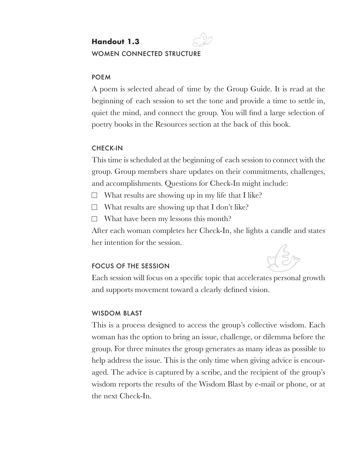# **Handout 1.3** WOMEN CONNECTED STRUCTURE

#### POEM

A poem is selected ahead of time by the Group Guide. It is read at the beginning of each session to set the tone and provide a time to settle in, quiet the mind, and connect the group. You will find a large selection of poetry books in the Resources section at the back of this book.

#### CHECK-IN

This time is scheduled at the beginning of each session to connect with the group. Group members share updates on their commitments, challenges, and accomplishments. Questions for Check-In might include:

- $\Box$  What results are showing up in my life that I like?
- $\Box$  What results are showing up that I don't like?

 $\Box$  What have been my lessons this month?

After each woman completes her Check-In, she lights a candle and states her intention for the session.

#### FOCUS OF THE SESSION



Each session will focus on a specific topic that accelerates personal growth and supports movement toward a clearly defined vision.

#### WISDOM BLAST

This is a process designed to access the group's collective wisdom. Each woman has the option to bring an issue, challenge, or dilemma before the group. For three minutes the group generates as many ideas as possible to help address the issue. This is the only time when giving advice is encouraged. The advice is captured by a scribe, and the recipient of the group's wisdom reports the results of the Wisdom Blast by e-mail or phone, or at the next Check-In.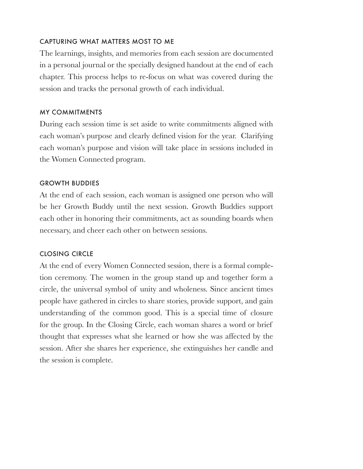## CAPTURING WHAT MATTERS MOST TO ME

The learnings, insights, and memories from each session are documented in a personal journal or the specially designed handout at the end of each chapter. This process helps to re-focus on what was covered during the session and tracks the personal growth of each individual.

### MY COMMITMENTS

During each session time is set aside to write commitments aligned with each woman's purpose and clearly defined vision for the year. Clarifying each woman's purpose and vision will take place in sessions included in the Women Connected program.

## **GROWTH BUDDIES**

At the end of each session, each woman is assigned one person who will be her Growth Buddy until the next session. Growth Buddies support each other in honoring their commitments, act as sounding boards when necessary, and cheer each other on between sessions.

## CLOSING CIRCLE

At the end of every Women Connected session, there is a formal completion ceremony. The women in the group stand up and together form a circle, the universal symbol of unity and wholeness. Since ancient times people have gathered in circles to share stories, provide support, and gain understanding of the common good. This is a special time of closure for the group. In the Closing Circle, each woman shares a word or brief thought that expresses what she learned or how she was affected by the session. After she shares her experience, she extinguishes her candle and the session is complete.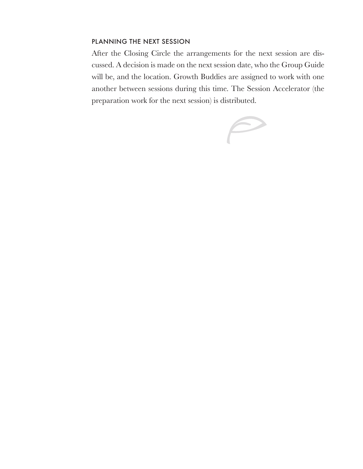#### PLANNING THE NEXT SESSION

After the Closing Circle the arrangements for the next session are discussed. A decision is made on the next session date, who the Group Guide will be, and the location. Growth Buddies are assigned to work with one another between sessions during this time. The Session Accelerator (the preparation work for the next session) is distributed.

 $\curvearrowright$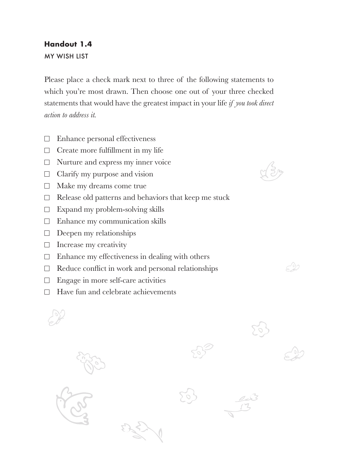## **Handout 1.4**

MY WISH LIST

Please place a check mark next to three of the following statements to which you're most drawn. Then choose one out of your three checked statements that would have the greatest impact in your life *if you took direct action to address it.*

- $\Box$  Enhance personal effectiveness
- $\Box$  Create more fulfillment in my life
- $\Box$  Nurture and express my inner voice
- $\Box$  Clarify my purpose and vision
- $\Box$  Make my dreams come true
- $\Box$  Release old patterns and behaviors that keep me stuck
- $\Box$  Expand my problem-solving skills
- $\Box$  Enhance my communication skills
- $\Box$  Deepen my relationships
- $\Box$  Increase my creativity
- $\Box$  Enhance my effectiveness in dealing with others
- $\Box$  Reduce conflict in work and personal relationships
- $\Box$  Engage in more self-care activities
- $\Box$  Have fun and celebrate achievements

 $\approx 22$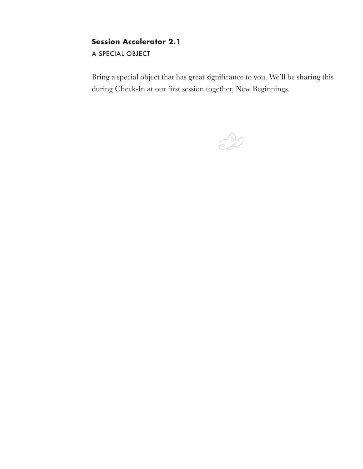## **Session Accelerator 2.1**

A SPECIAL OBJECT

Bring a special object that has great significance to you. We'll be sharing this during Check-In at our first session together, New Beginnings.